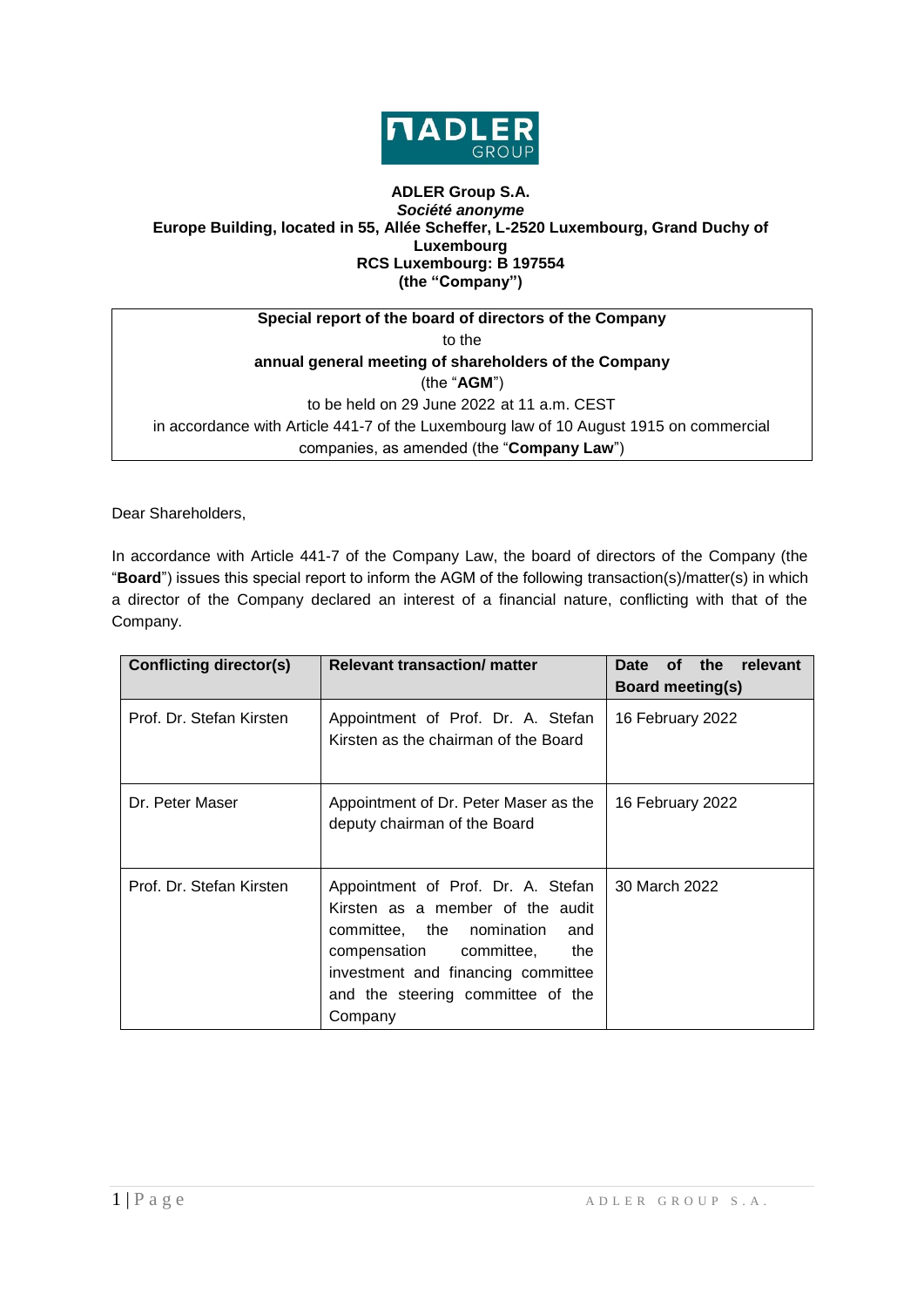

## **ADLER Group S.A.** *Société anonyme* **Europe Building, located in 55, Allée Scheffer, L-2520 Luxembourg, Grand Duchy of Luxembourg RCS Luxembourg: B 197554 (the "Company")**

| Special report of the board of directors of the Company                                |  |  |  |
|----------------------------------------------------------------------------------------|--|--|--|
| to the                                                                                 |  |  |  |
| annual general meeting of shareholders of the Company                                  |  |  |  |
| (the " $AGM$ ")                                                                        |  |  |  |
| to be held on 29 June 2022 at 11 a.m. CEST                                             |  |  |  |
| in accordance with Article 441-7 of the Luxembourg law of 10 August 1915 on commercial |  |  |  |
| companies, as amended (the "Company Law")                                              |  |  |  |

Dear Shareholders,

In accordance with Article 441-7 of the Company Law, the board of directors of the Company (the "**Board**") issues this special report to inform the AGM of the following transaction(s)/matter(s) in which a director of the Company declared an interest of a financial nature, conflicting with that of the Company.

| <b>Conflicting director(s)</b> | <b>Relevant transaction/ matter</b>                                                                                                                                                                                                | the<br>Date<br><b>of</b><br>relevant<br><b>Board meeting(s)</b> |
|--------------------------------|------------------------------------------------------------------------------------------------------------------------------------------------------------------------------------------------------------------------------------|-----------------------------------------------------------------|
| Prof. Dr. Stefan Kirsten       | Appointment of Prof. Dr. A. Stefan<br>Kirsten as the chairman of the Board                                                                                                                                                         | 16 February 2022                                                |
| Dr. Peter Maser                | Appointment of Dr. Peter Maser as the<br>deputy chairman of the Board                                                                                                                                                              | 16 February 2022                                                |
| Prof. Dr. Stefan Kirsten       | Appointment of Prof. Dr. A. Stefan<br>Kirsten as a member of the audit<br>committee, the nomination<br>and<br>compensation committee,<br>the<br>investment and financing committee<br>and the steering committee of the<br>Company | 30 March 2022                                                   |